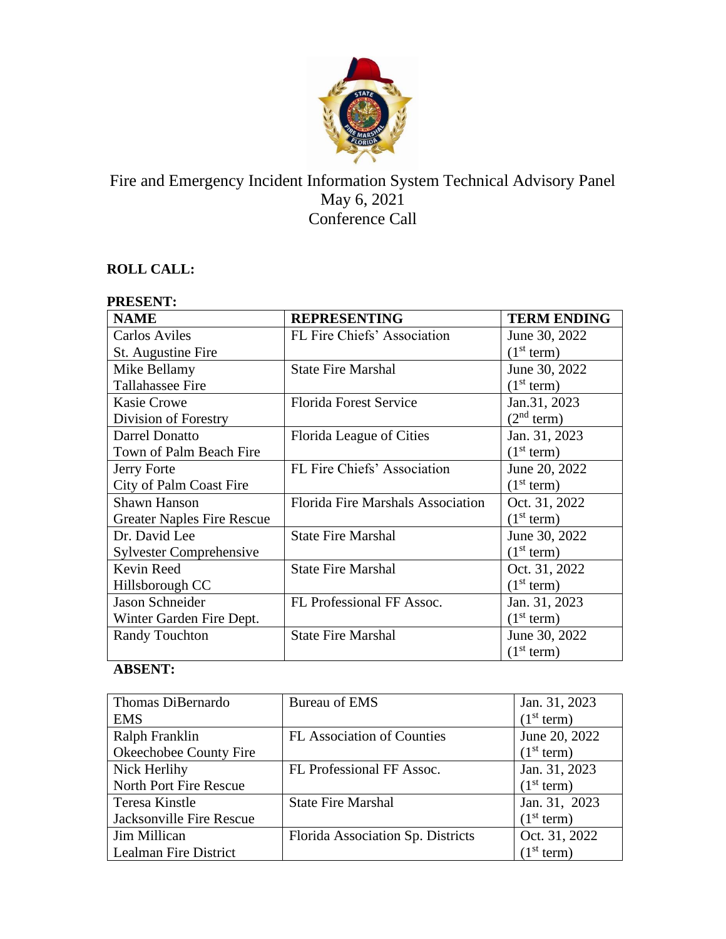

# Fire and Emergency Incident Information System Technical Advisory Panel May 6, 2021 Conference Call

## **ROLL CALL:**

| <b>PRESENT:</b>                   |                                   |                        |
|-----------------------------------|-----------------------------------|------------------------|
| <b>NAME</b>                       | <b>REPRESENTING</b>               | <b>TERM ENDING</b>     |
| <b>Carlos Aviles</b>              | FL Fire Chiefs' Association       | June 30, 2022          |
| St. Augustine Fire                |                                   | (1 <sup>st</sup> term) |
| Mike Bellamy                      | <b>State Fire Marshal</b>         | June 30, 2022          |
| Tallahassee Fire                  |                                   | (1 <sup>st</sup> term) |
| <b>Kasie Crowe</b>                | <b>Florida Forest Service</b>     | Jan.31, 2023           |
| Division of Forestry              |                                   | (2 <sup>nd</sup> term) |
| Darrel Donatto                    | Florida League of Cities          | Jan. 31, 2023          |
| Town of Palm Beach Fire           |                                   | (1 <sup>st</sup> term) |
| Jerry Forte                       | FL Fire Chiefs' Association       | June 20, 2022          |
| City of Palm Coast Fire           |                                   | (1 <sup>st</sup> term) |
| <b>Shawn Hanson</b>               | Florida Fire Marshals Association | Oct. 31, 2022          |
| <b>Greater Naples Fire Rescue</b> |                                   | (1 <sup>st</sup> term) |
| Dr. David Lee                     | <b>State Fire Marshal</b>         | June 30, 2022          |
| <b>Sylvester Comprehensive</b>    |                                   | (1 <sup>st</sup> term) |
| Kevin Reed                        | <b>State Fire Marshal</b>         | Oct. 31, 2022          |
| Hillsborough CC                   |                                   | (1 <sup>st</sup> term) |
| Jason Schneider                   | FL Professional FF Assoc.         | Jan. 31, 2023          |
| Winter Garden Fire Dept.          |                                   | (1 <sup>st</sup> term) |
| <b>Randy Touchton</b>             | <b>State Fire Marshal</b>         | June 30, 2022          |
|                                   |                                   | (1 <sup>st</sup> term) |

## **ABSENT:**

| Thomas DiBernardo        | Bureau of EMS                     | Jan. 31, 2023          |
|--------------------------|-----------------------------------|------------------------|
| <b>EMS</b>               |                                   | (1 <sup>st</sup> term) |
| Ralph Franklin           | <b>FL</b> Association of Counties | June 20, 2022          |
| Okeechobee County Fire   |                                   | (1 <sup>st</sup> term) |
| Nick Herlihy             | FL Professional FF Assoc.         | Jan. 31, 2023          |
| North Port Fire Rescue   |                                   | (1 <sup>st</sup> term) |
| Teresa Kinstle           | <b>State Fire Marshal</b>         | Jan. 31, 2023          |
| Jacksonville Fire Rescue |                                   | (1 <sup>st</sup> term) |
| Jim Millican             | Florida Association Sp. Districts | Oct. 31, 2022          |
| Lealman Fire District    |                                   | (1 <sup>st</sup> term) |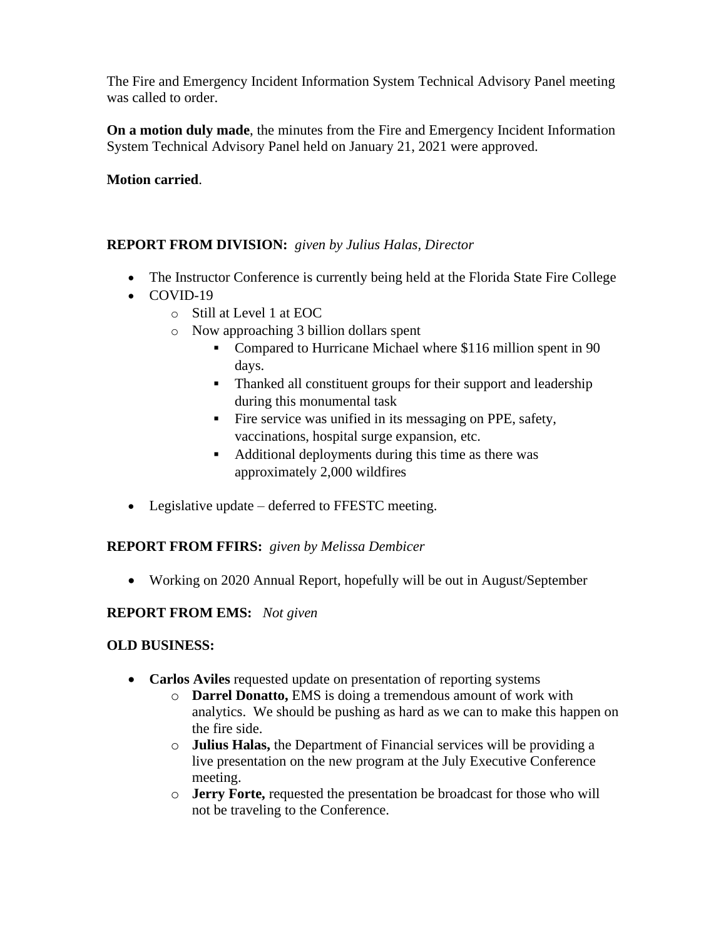The Fire and Emergency Incident Information System Technical Advisory Panel meeting was called to order.

**On a motion duly made**, the minutes from the Fire and Emergency Incident Information System Technical Advisory Panel held on January 21, 2021 were approved.

### **Motion carried**.

### **REPORT FROM DIVISION:** *given by Julius Halas, Director*

- The Instructor Conference is currently being held at the Florida State Fire College
- COVID-19
	- o Still at Level 1 at EOC
	- o Now approaching 3 billion dollars spent
		- Compared to Hurricane Michael where \$116 million spent in 90 days.
		- Thanked all constituent groups for their support and leadership during this monumental task
		- **•** Fire service was unified in its messaging on PPE, safety, vaccinations, hospital surge expansion, etc.
		- Additional deployments during this time as there was approximately 2,000 wildfires
- Legislative update deferred to FFESTC meeting.

#### **REPORT FROM FFIRS:** *given by Melissa Dembicer*

• Working on 2020 Annual Report, hopefully will be out in August/September

#### **REPORT FROM EMS:** *Not given*

#### **OLD BUSINESS:**

- **Carlos Aviles** requested update on presentation of reporting systems
	- o **Darrel Donatto,** EMS is doing a tremendous amount of work with analytics. We should be pushing as hard as we can to make this happen on the fire side.
	- o **Julius Halas,** the Department of Financial services will be providing a live presentation on the new program at the July Executive Conference meeting.
	- o **Jerry Forte,** requested the presentation be broadcast for those who will not be traveling to the Conference.